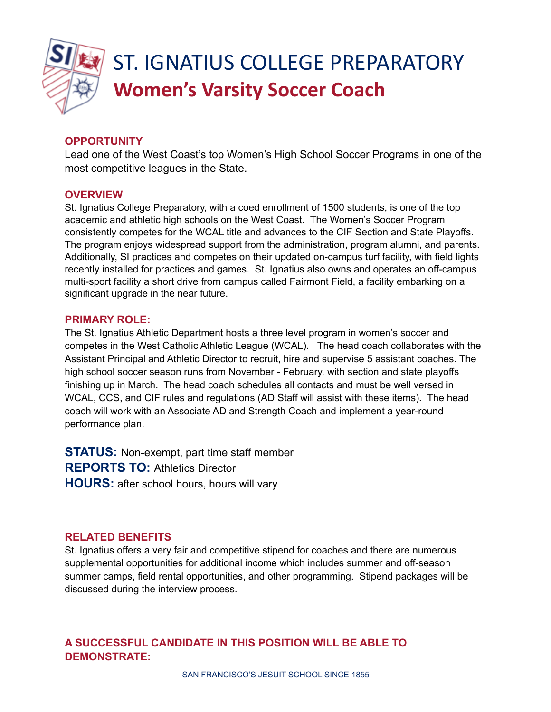

# ST. IGNATIUS COLLEGE PREPARATORY **Women's Varsity Soccer Coach**

# **OPPORTUNITY**

Lead one of the West Coast's top Women's High School Soccer Programs in one of the most competitive leagues in the State.

## **OVERVIEW**

St. Ignatius College Preparatory, with a coed enrollment of 1500 students, is one of the top academic and athletic high schools on the West Coast. The Women's Soccer Program consistently competes for the WCAL title and advances to the CIF Section and State Playoffs. The program enjoys widespread support from the administration, program alumni, and parents. Additionally, SI practices and competes on their updated on-campus turf facility, with field lights recently installed for practices and games. St. Ignatius also owns and operates an off-campus multi-sport facility a short drive from campus called Fairmont Field, a facility embarking on a significant upgrade in the near future.

### **PRIMARY ROLE:**

The St. Ignatius Athletic Department hosts a three level program in women's soccer and competes in the West Catholic Athletic League (WCAL). The head coach collaborates with the Assistant Principal and Athletic Director to recruit, hire and supervise 5 assistant coaches. The high school soccer season runs from November - February, with section and state playoffs finishing up in March. The head coach schedules all contacts and must be well versed in WCAL, CCS, and CIF rules and regulations (AD Staff will assist with these items). The head coach will work with an Associate AD and Strength Coach and implement a year-round performance plan.

**STATUS:** Non-exempt, part time staff member **REPORTS TO:** Athletics Director **HOURS:** after school hours, hours will vary

## **RELATED BENEFITS**

St. Ignatius offers a very fair and competitive stipend for coaches and there are numerous supplemental opportunities for additional income which includes summer and off-season summer camps, field rental opportunities, and other programming. Stipend packages will be discussed during the interview process.

## **A SUCCESSFUL CANDIDATE IN THIS POSITION WILL BE ABLE TO DEMONSTRATE:**